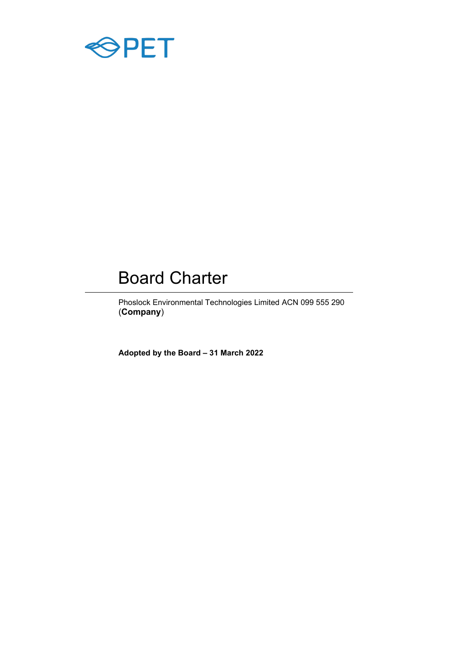

# Board Charter

Phoslock Environmental Technologies Limited ACN 099 555 290 (**Company**)

**Adopted by the Board – 31 March 2022**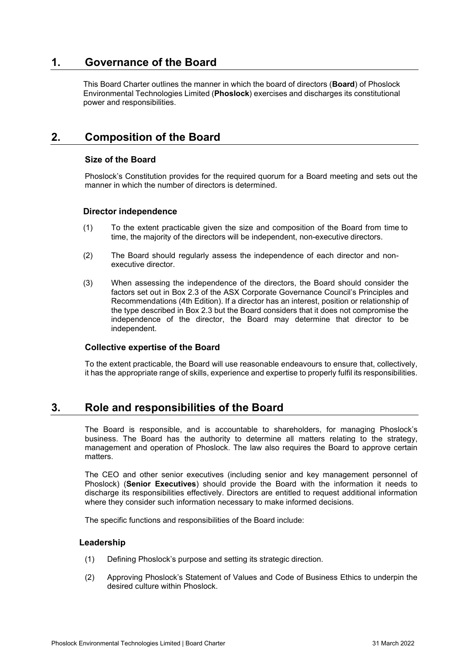# **1. Governance of the Board**

This Board Charter outlines the manner in which the board of directors (**Board**) of Phoslock Environmental Technologies Limited (**Phoslock**) exercises and discharges its constitutional power and responsibilities.

# **2. Composition of the Board**

## **Size of the Board**

Phoslock's Constitution provides for the required quorum for a Board meeting and sets out the manner in which the number of directors is determined.

## **Director independence**

- (1) To the extent practicable given the size and composition of the Board from time to time, the majority of the directors will be independent, non-executive directors.
- (2) The Board should regularly assess the independence of each director and nonexecutive director.
- (3) When assessing the independence of the directors, the Board should consider the factors set out in Box 2.3 of the ASX Corporate Governance Council's Principles and Recommendations (4th Edition). If a director has an interest, position or relationship of the type described in Box 2.3 but the Board considers that it does not compromise the independence of the director, the Board may determine that director to be independent.

#### **Collective expertise of the Board**

To the extent practicable, the Board will use reasonable endeavours to ensure that, collectively, it has the appropriate range of skills, experience and expertise to properly fulfil its responsibilities.

## **3. Role and responsibilities of the Board**

The Board is responsible, and is accountable to shareholders, for managing Phoslock's business. The Board has the authority to determine all matters relating to the strategy, management and operation of Phoslock. The law also requires the Board to approve certain matters.

The CEO and other senior executives (including senior and key management personnel of Phoslock) (**Senior Executives**) should provide the Board with the information it needs to discharge its responsibilities effectively. Directors are entitled to request additional information where they consider such information necessary to make informed decisions.

The specific functions and responsibilities of the Board include:

#### **Leadership**

- (1) Defining Phoslock's purpose and setting its strategic direction.
- (2) Approving Phoslock's Statement of Values and Code of Business Ethics to underpin the desired culture within Phoslock.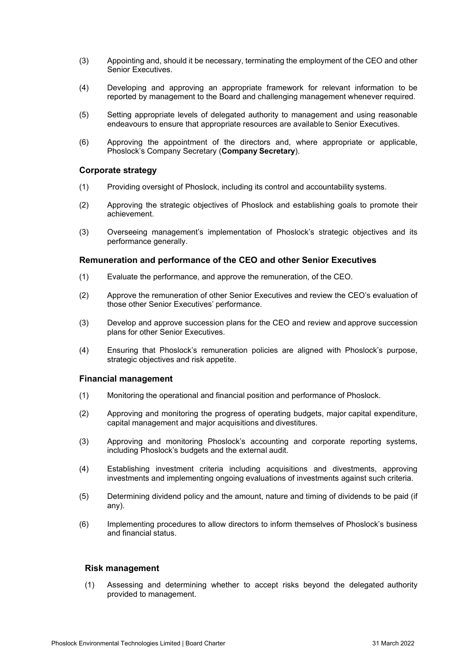- (3) Appointing and, should it be necessary, terminating the employment of the CEO and other Senior Executives.
- (4) Developing and approving an appropriate framework for relevant information to be reported by management to the Board and challenging management whenever required.
- (5) Setting appropriate levels of delegated authority to management and using reasonable endeavours to ensure that appropriate resources are available to Senior Executives.
- (6) Approving the appointment of the directors and, where appropriate or applicable, Phoslock's Company Secretary (**Company Secretary**).

## **Corporate strategy**

- (1) Providing oversight of Phoslock, including its control and accountability systems.
- (2) Approving the strategic objectives of Phoslock and establishing goals to promote their achievement.
- (3) Overseeing management's implementation of Phoslock's strategic objectives and its performance generally.

#### **Remuneration and performance of the CEO and other Senior Executives**

- (1) Evaluate the performance, and approve the remuneration, of the CEO.
- (2) Approve the remuneration of other Senior Executives and review the CEO's evaluation of those other Senior Executives' performance.
- (3) Develop and approve succession plans for the CEO and review and approve succession plans for other Senior Executives.
- (4) Ensuring that Phoslock's remuneration policies are aligned with Phoslock's purpose, strategic objectives and risk appetite.

#### **Financial management**

- (1) Monitoring the operational and financial position and performance of Phoslock.
- (2) Approving and monitoring the progress of operating budgets, major capital expenditure, capital management and major acquisitions and divestitures.
- (3) Approving and monitoring Phoslock's accounting and corporate reporting systems, including Phoslock's budgets and the external audit.
- (4) Establishing investment criteria including acquisitions and divestments, approving investments and implementing ongoing evaluations of investments against such criteria.
- (5) Determining dividend policy and the amount, nature and timing of dividends to be paid (if any).
- (6) Implementing procedures to allow directors to inform themselves of Phoslock's business and financial status.

## **Risk management**

(1) Assessing and determining whether to accept risks beyond the delegated authority provided to management.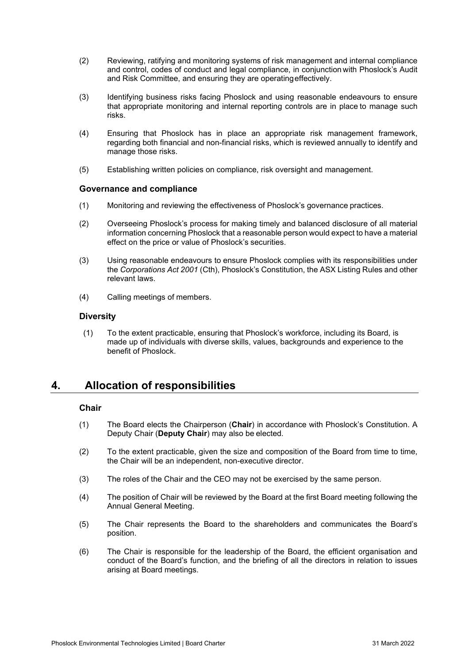- (2) Reviewing, ratifying and monitoring systems of risk management and internal compliance and control, codes of conduct and legal compliance, in conjunction with Phoslock's Audit and Risk Committee, and ensuring they are operatingeffectively.
- (3) Identifying business risks facing Phoslock and using reasonable endeavours to ensure that appropriate monitoring and internal reporting controls are in place to manage such risks.
- (4) Ensuring that Phoslock has in place an appropriate risk management framework, regarding both financial and non-financial risks, which is reviewed annually to identify and manage those risks.
- (5) Establishing written policies on compliance, risk oversight and management.

## **Governance and compliance**

- (1) Monitoring and reviewing the effectiveness of Phoslock's governance practices.
- (2) Overseeing Phoslock's process for making timely and balanced disclosure of all material information concerning Phoslock that a reasonable person would expect to have a material effect on the price or value of Phoslock's securities.
- (3) Using reasonable endeavours to ensure Phoslock complies with its responsibilities under the *Corporations Act 2001* (Cth), Phoslock's Constitution, the ASX Listing Rules and other relevant laws.
- (4) Calling meetings of members.

## **Diversity**

(1) To the extent practicable, ensuring that Phoslock's workforce, including its Board, is made up of individuals with diverse skills, values, backgrounds and experience to the benefit of Phoslock.

# **4. Allocation of responsibilities**

## **Chair**

- (1) The Board elects the Chairperson (**Chair**) in accordance with Phoslock's Constitution. A Deputy Chair (**Deputy Chair**) may also be elected.
- (2) To the extent practicable, given the size and composition of the Board from time to time, the Chair will be an independent, non-executive director.
- (3) The roles of the Chair and the CEO may not be exercised by the same person.
- (4) The position of Chair will be reviewed by the Board at the first Board meeting following the Annual General Meeting.
- (5) The Chair represents the Board to the shareholders and communicates the Board's position.
- (6) The Chair is responsible for the leadership of the Board, the efficient organisation and conduct of the Board's function, and the briefing of all the directors in relation to issues arising at Board meetings.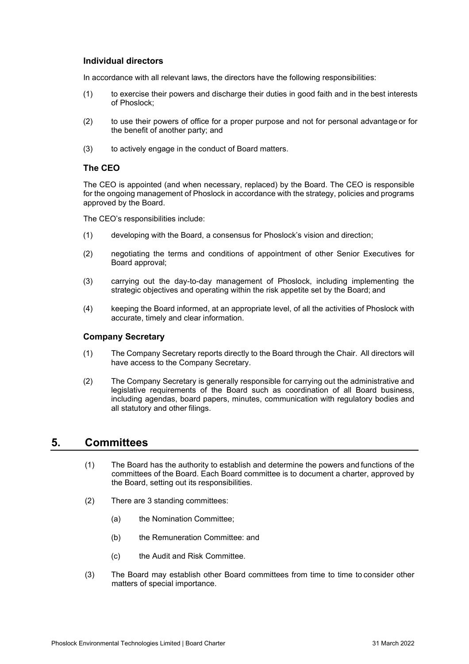## **Individual directors**

In accordance with all relevant laws, the directors have the following responsibilities:

- (1) to exercise their powers and discharge their duties in good faith and in the best interests of Phoslock;
- (2) to use their powers of office for a proper purpose and not for personal advantage or for the benefit of another party; and
- (3) to actively engage in the conduct of Board matters.

## **The CEO**

The CEO is appointed (and when necessary, replaced) by the Board. The CEO is responsible for the ongoing management of Phoslock in accordance with the strategy, policies and programs approved by the Board.

The CEO's responsibilities include:

- (1) developing with the Board, a consensus for Phoslock's vision and direction;
- (2) negotiating the terms and conditions of appointment of other Senior Executives for Board approval;
- (3) carrying out the day-to-day management of Phoslock, including implementing the strategic objectives and operating within the risk appetite set by the Board; and
- (4) keeping the Board informed, at an appropriate level, of all the activities of Phoslock with accurate, timely and clear information.

#### **Company Secretary**

- (1) The Company Secretary reports directly to the Board through the Chair. All directors will have access to the Company Secretary.
- (2) The Company Secretary is generally responsible for carrying out the administrative and legislative requirements of the Board such as coordination of all Board business, including agendas, board papers, minutes, communication with regulatory bodies and all statutory and other filings.

## **5. Committees**

- (1) The Board has the authority to establish and determine the powers and functions of the committees of the Board. Each Board committee is to document a charter, approved by the Board, setting out its responsibilities.
- (2) There are 3 standing committees:
	- (a) the Nomination Committee;
	- (b) the Remuneration Committee: and
	- (c) the Audit and Risk Committee.
- (3) The Board may establish other Board committees from time to time to consider other matters of special importance.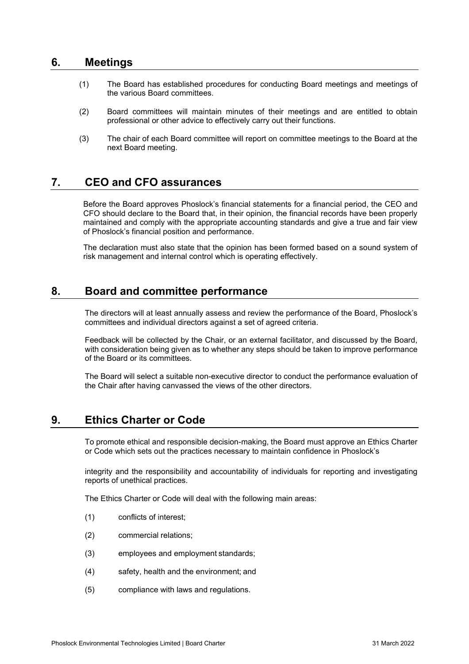# **6. Meetings**

- (1) The Board has established procedures for conducting Board meetings and meetings of the various Board committees.
- (2) Board committees will maintain minutes of their meetings and are entitled to obtain professional or other advice to effectively carry out their functions.
- (3) The chair of each Board committee will report on committee meetings to the Board at the next Board meeting.

# **7. CEO and CFO assurances**

Before the Board approves Phoslock's financial statements for a financial period, the CEO and CFO should declare to the Board that, in their opinion, the financial records have been properly maintained and comply with the appropriate accounting standards and give a true and fair view of Phoslock's financial position and performance.

The declaration must also state that the opinion has been formed based on a sound system of risk management and internal control which is operating effectively.

# **8. Board and committee performance**

The directors will at least annually assess and review the performance of the Board, Phoslock's committees and individual directors against a set of agreed criteria.

Feedback will be collected by the Chair, or an external facilitator, and discussed by the Board, with consideration being given as to whether any steps should be taken to improve performance of the Board or its committees.

The Board will select a suitable non-executive director to conduct the performance evaluation of the Chair after having canvassed the views of the other directors.

## **9. Ethics Charter or Code**

To promote ethical and responsible decision-making, the Board must approve an Ethics Charter or Code which sets out the practices necessary to maintain confidence in Phoslock's

integrity and the responsibility and accountability of individuals for reporting and investigating reports of unethical practices.

The Ethics Charter or Code will deal with the following main areas:

- (1) conflicts of interest;
- (2) commercial relations;
- (3) employees and employment standards;
- (4) safety, health and the environment; and
- (5) compliance with laws and regulations.